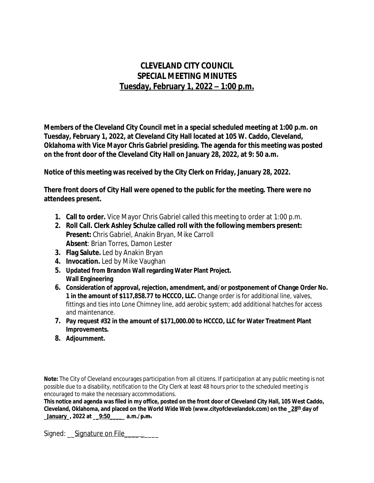## **CLEVELAND CITY COUNCIL SPECIAL MEETING MINUTES Tuesday, February 1, 2022 – 1:00 p.m.**

**Members of the Cleveland City Council met in a special scheduled meeting at 1:00 p.m. on Tuesday, February 1, 2022, at Cleveland City Hall located at 105 W. Caddo, Cleveland, Oklahoma with Vice Mayor Chris Gabriel presiding. The agenda for this meeting was posted on the front door of the Cleveland City Hall on January 28, 2022, at 9: 50 a.m.**

**Notice of this meeting was received by the City Clerk on Friday, January 28, 2022.**

**There front doors of City Hall were opened to the public for the meeting. There were no attendees present.** 

- **1. Call to order.** Vice Mayor Chris Gabriel called this meeting to order at 1:00 p.m.
- **2. Roll Call. Clerk Ashley Schulze called roll with the following members present: Present:** Chris Gabriel, Anakin Bryan, Mike Carroll **Absent**: Brian Torres, Damon Lester
- **3. Flag Salute.** Led by Anakin Bryan
- **4. Invocation.** Led by Mike Vaughan
- **5. Updated from Brandon Wall regarding Water Plant Project. Wall Engineering**
- **6. Consideration of approval, rejection, amendment, and/or postponement of Change Order No. 1 in the amount of \$117,858.77 to HCCCO, LLC.** Change order is for additional line, valves, fittings and ties into Lone Chimney line, add aerobic system; add additional hatches for access and maintenance.
- **7. Pay request #32 in the amount of \$171,000.00 to HCCCO, LLC for Water Treatment Plant Improvements.**
- **8. Adjournment.**

**Note:** The City of Cleveland encourages participation from all citizens. If participation at any public meeting is not possible due to a disability, notification to the City Clerk at least 48 hours prior to the scheduled meeting is encouraged to make the necessary accommodations.

**This notice and agenda was filed in my office, posted on the front door of Cleveland City Hall, 105 West Caddo, Cleveland, Oklahoma, and placed on the World Wide Web (www.cityofclevelandok.com) on the \_28th day of \_January\_, 2022 at \_\_9:50\_\_\_\_\_ a.m./p.m.**

Signed: Signature on File